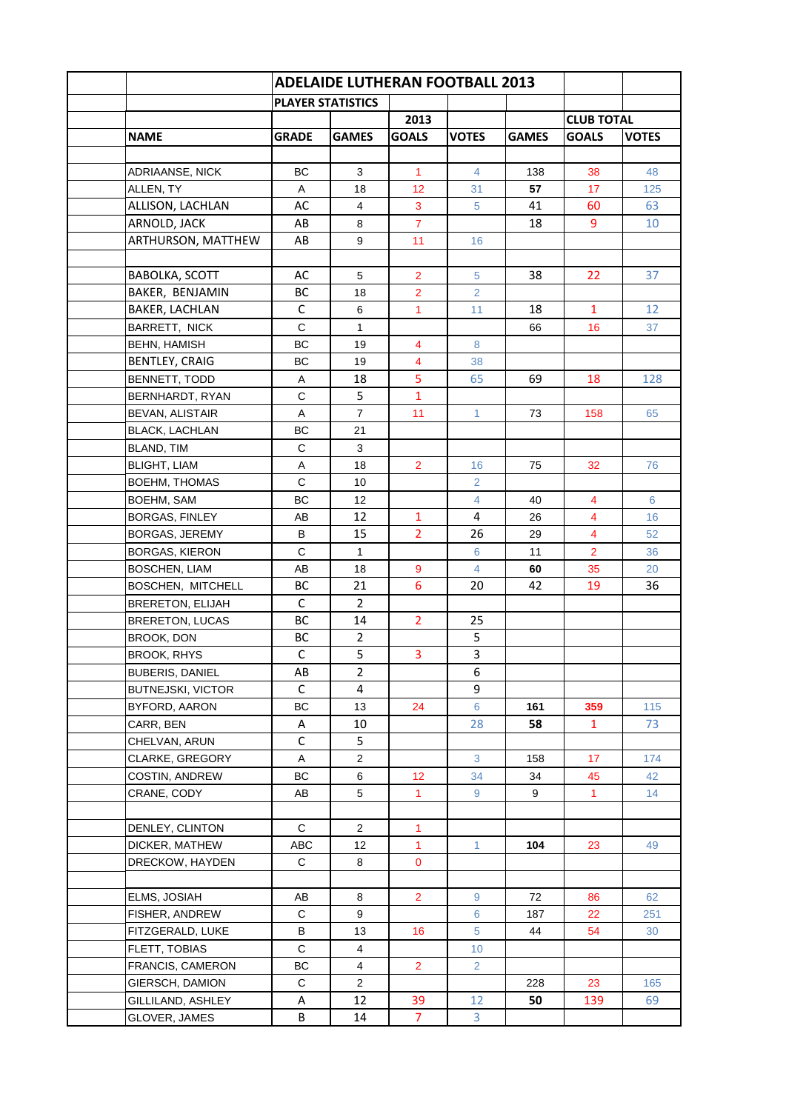|                          | <b>PLAYER STATISTICS</b> |                |                 |                 |              |                   |              |
|--------------------------|--------------------------|----------------|-----------------|-----------------|--------------|-------------------|--------------|
|                          |                          |                | 2013            |                 |              | <b>CLUB TOTAL</b> |              |
| <b>NAME</b>              | <b>GRADE</b>             | <b>GAMES</b>   | <b>GOALS</b>    | <b>VOTES</b>    | <b>GAMES</b> | <b>GOALS</b>      | <b>VOTES</b> |
|                          |                          |                |                 |                 |              |                   |              |
| ADRIAANSE, NICK          | ВC                       | 3              | $\mathbf{1}$    | 4               | 138          | 38                | 48           |
| ALLEN, TY                | A                        | 18             | 12 <sup>2</sup> | 31              | 57           | 17                | 125          |
| ALLISON, LACHLAN         | AC                       | $\overline{4}$ | 3               | 5               | 41           | 60                | 63           |
| ARNOLD, JACK             | AB                       | 8              | $\overline{7}$  |                 | 18           | 9                 | 10           |
| ARTHURSON, MATTHEW       | AB                       | 9              | 11              | 16              |              |                   |              |
|                          |                          |                |                 |                 |              |                   |              |
| <b>BABOLKA, SCOTT</b>    | AC                       | 5              | $\overline{2}$  | 5               | 38           | 22.               | 37           |
| BAKER, BENJAMIN          | BC                       | 18             | $\overline{2}$  | 2               |              |                   |              |
| <b>BAKER, LACHLAN</b>    | С                        | 6              | $\mathbf{1}$    | 11              | 18           | $\mathbf{1}$      | 12           |
| BARRETT, NICK            | $\mathsf{C}$             | 1              |                 |                 | 66           | 16                | 37           |
| <b>BEHN, HAMISH</b>      | BC                       | 19             | 4               | 8               |              |                   |              |
| <b>BENTLEY, CRAIG</b>    | BC                       | 19             | $\overline{4}$  | 38              |              |                   |              |
| BENNETT, TODD            | Α                        | 18             | 5               | 65              | 69           | 18                | 128          |
| BERNHARDT, RYAN          | $\mathsf{C}$             | 5              | $\mathbf{1}$    |                 |              |                   |              |
| BEVAN, ALISTAIR          | A                        | $\overline{7}$ | 11              | $\mathbf{1}$    | 73           | 158               | 65           |
| <b>BLACK, LACHLAN</b>    | ВC                       | 21             |                 |                 |              |                   |              |
| BLAND, TIM               | C                        | 3              |                 |                 |              |                   |              |
| <b>BLIGHT, LIAM</b>      | A                        | 18             | $\overline{2}$  | 16              | 75           | 32                | 76           |
| BOEHM, THOMAS            | $\mathsf{C}$             | 10             |                 | $\overline{2}$  |              |                   |              |
| BOEHM, SAM               | ВC                       | 12             |                 | $\overline{4}$  | 40           | $\overline{4}$    | 6            |
| BORGAS, FINLEY           | AB                       | 12             | $\mathbf{1}$    | 4               | 26           | $\overline{4}$    | 16           |
| BORGAS, JEREMY           | B                        | 15             | $\overline{2}$  | 26              | 29           | $\overline{4}$    | 52           |
| BORGAS, KIERON           | C                        | $\mathbf{1}$   |                 | 6               | 11           | $\overline{2}$    | 36           |
| <b>BOSCHEN, LIAM</b>     | AB                       | 18             | 9               | $\overline{4}$  | 60           | 35                | 20           |
| BOSCHEN, MITCHELL        | ВC                       | 21             | 6               | 20              | 42           | 19                | 36           |
|                          | C                        | $\overline{2}$ |                 |                 |              |                   |              |
| <b>BRERETON, ELIJAH</b>  | <b>BC</b>                | 14             |                 |                 |              |                   |              |
| <b>BRERETON, LUCAS</b>   |                          |                | $\overline{2}$  | 25              |              |                   |              |
| BROOK, DON               | <b>BC</b>                | $\overline{2}$ |                 | 5               |              |                   |              |
| <b>BROOK, RHYS</b>       | С                        | 5              | 3               | 3               |              |                   |              |
| <b>BUBERIS, DANIEL</b>   | AB                       | $\overline{2}$ |                 | 6               |              |                   |              |
| <b>BUTNEJSKI, VICTOR</b> | $\mathsf C$              | 4              |                 | 9               |              |                   |              |
| BYFORD, AARON            | BC                       | 13             | 24              | 6               | 161          | 359               | 115          |
| CARR, BEN                | A                        | 10             |                 | 28              | 58           | $\mathbf{1}$      | 73           |
| CHELVAN, ARUN            | $\mathsf C$              | 5              |                 |                 |              |                   |              |
| CLARKE, GREGORY          | Α                        | $\overline{2}$ |                 | 3               | 158          | 17 <sup>2</sup>   | 174          |
| COSTIN, ANDREW           | BC                       | 6              | 12              | 34              | 34           | 45                | 42           |
| CRANE, CODY              | AB                       | 5              | $\mathbf{1}$    | 9               | 9            | $\mathbf{1}$      | 14           |
|                          |                          |                |                 |                 |              |                   |              |
| DENLEY, CLINTON          | C                        | $\overline{2}$ | 1               |                 |              |                   |              |
| DICKER, MATHEW           | ABC                      | 12             | $\mathbf{1}$    | $\mathbf{1}$    | 104          | 23                | 49           |
| DRECKOW, HAYDEN          | $\mathbf C$              | 8              | $\mathbf 0$     |                 |              |                   |              |
|                          |                          |                |                 |                 |              |                   |              |
| ELMS, JOSIAH             | AB                       | 8              | $\overline{2}$  | 9               | 72           | 86                | 62           |
| FISHER, ANDREW           | $\mathsf{C}$             | 9              |                 | 6               | 187          | 22                | 251          |
| FITZGERALD, LUKE         | B                        | 13             | 16              | 5               | 44           | 54                | 30           |
| <b>FLETT, TOBIAS</b>     | $\mathsf{C}$             | $\overline{4}$ |                 | 10 <sup>°</sup> |              |                   |              |
| <b>FRANCIS, CAMERON</b>  | BC                       | 4              | $\overline{2}$  | $\overline{2}$  |              |                   |              |
| GIERSCH, DAMION          | C                        | $\overline{2}$ |                 |                 | 228          | 23                | 165          |
| GILLILAND, ASHLEY        | Α                        | 12             | 39              | 12              | 50           | 139               | 69           |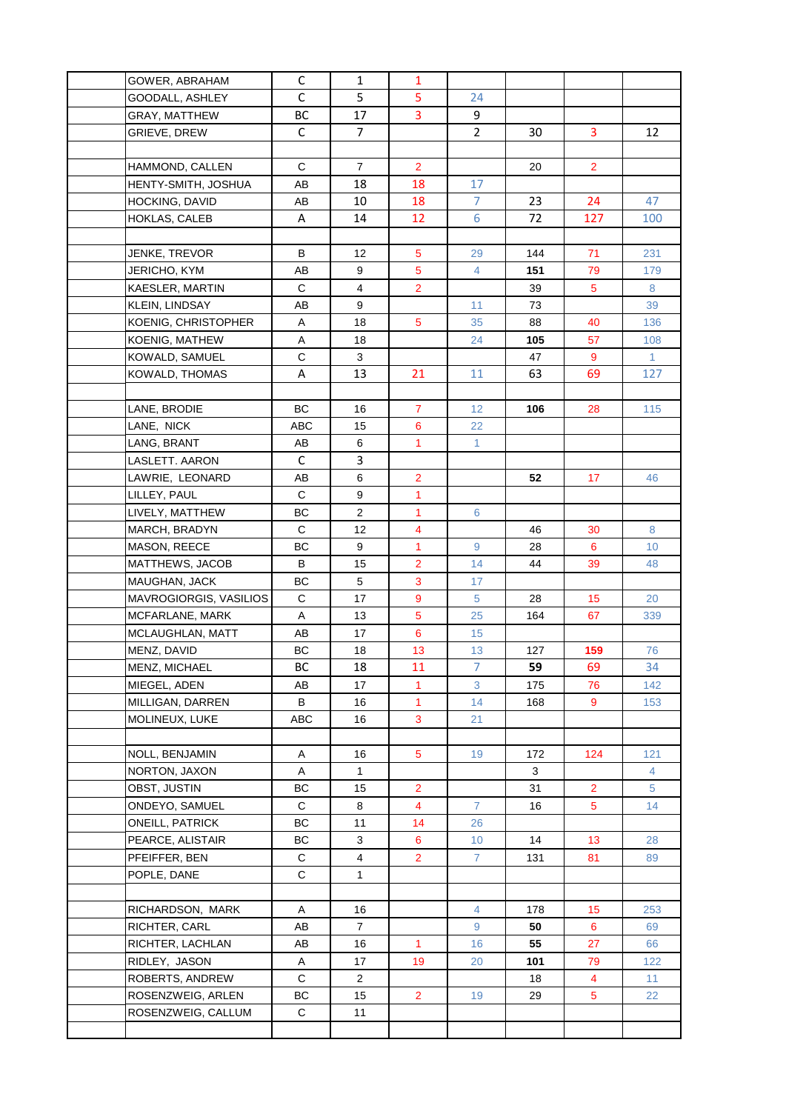| GOWER, ABRAHAM         |                        | $\mathsf{C}$ | $\mathbf{1}$            | 1              |                 |     |                |                |
|------------------------|------------------------|--------------|-------------------------|----------------|-----------------|-----|----------------|----------------|
| GOODALL, ASHLEY        |                        | $\mathsf{C}$ | 5                       | 5              | 24              |     |                |                |
| GRAY, MATTHEW          |                        | BC           | 17                      | 3              | 9               |     |                |                |
| GRIEVE, DREW           |                        | C            | $\overline{7}$          |                | $\overline{2}$  | 30  | 3              | 12             |
|                        |                        |              |                         |                |                 |     |                |                |
| HAMMOND, CALLEN        |                        | C            | $\overline{7}$          | $\overline{2}$ |                 | 20  | $\overline{2}$ |                |
|                        | HENTY-SMITH, JOSHUA    | AB           | 18                      | 18             | 17              |     |                |                |
| HOCKING, DAVID         |                        | AB           | 10                      | 18             | $\overline{7}$  | 23  | 24             | 47             |
| HOKLAS, CALEB          |                        | Α            | 14                      | 12             | 6               | 72  | 127            | 100            |
|                        |                        |              |                         |                |                 |     |                |                |
| JENKE, TREVOR          |                        | B            | 12                      | 5              | 29              | 144 | 71             | 231            |
| JERICHO, KYM           |                        | AB           | 9                       | 5              | 4               | 151 | 79             | 179            |
| KAESLER, MARTIN        |                        | C            | 4                       | $\overline{2}$ |                 | 39  | 5              | 8              |
| KLEIN, LINDSAY         |                        | AВ           | 9                       |                | 11              | 73  |                | 39             |
|                        | KOENIG, CHRISTOPHER    | Α            | 18                      | 5              | 35              | 88  | 40             | 136            |
| KOENIG, MATHEW         |                        | Α            | 18                      |                | 24              | 105 | 57             | 108            |
| KOWALD, SAMUEL         |                        | C            | 3                       |                |                 | 47  | 9              | $\mathbf{1}$   |
| <b>KOWALD, THOMAS</b>  |                        | Α            | 13                      | 21             | 11              | 63  | 69             | 127            |
|                        |                        |              |                         |                |                 |     |                |                |
| LANE, BRODIE           |                        | BC           | 16                      | $\overline{7}$ | 12 <sub>2</sub> | 106 | 28             | 115            |
| LANE, NICK             |                        | ABC          | 15                      | 6              | 22              |     |                |                |
| LANG, BRANT            |                        | AB           | 6                       | $\mathbf{1}$   | $\mathbf{1}$    |     |                |                |
| LASLETT. AARON         |                        | $\mathsf{C}$ | 3                       |                |                 |     |                |                |
| LAWRIE, LEONARD        |                        | AB           | $\,6$                   | $\overline{2}$ |                 | 52  | 17             | 46             |
| LILLEY, PAUL           |                        | C            | $\boldsymbol{9}$        | $\mathbf{1}$   |                 |     |                |                |
| LIVELY, MATTHEW        |                        | BC           | $\overline{c}$          | $\mathbf{1}$   | 6               |     |                |                |
| MARCH, BRADYN          |                        | $\mathbf C$  | 12                      | $\overline{4}$ |                 | 46  | 30             | 8              |
| MASON, REECE           |                        | BC           | 9                       | $\mathbf{1}$   | 9               | 28  | 6              | 10             |
| MATTHEWS, JACOB        |                        | B            | 15                      | $\overline{2}$ | 14              | 44  | 39             | 48             |
| MAUGHAN, JACK          |                        | BC           | 5                       | 3              | 17              |     |                |                |
|                        | MAVROGIORGIS, VASILIOS | $\mathbf C$  | 17                      | 9              | $\sqrt{5}$      | 28  | 15             | 20             |
| MCFARLANE, MARK        |                        | Α            | 13                      | 5              | 25              | 164 | 67             | 339            |
|                        | MCLAUGHLAN, MATT       | AВ           | 17                      | 6              | 15              |     |                |                |
| MENZ, DAVID            |                        | ВC           | 18                      | 13             | 13              | 127 | 159            | 76             |
| MENZ, MICHAEL          |                        | ВC           | 18                      | 11             | $\overline{7}$  | 59  | 69             | 34             |
| MIEGEL, ADEN           |                        | AB           | 17                      | $\mathbf{1}$   | 3               | 175 | 76             | 142            |
| MILLIGAN, DARREN       |                        | B            | 16                      | $\mathbf{1}$   | 14              | 168 | 9              | 153            |
| MOLINEUX, LUKE         |                        | ABC          | 16                      | 3              | 21              |     |                |                |
|                        |                        |              |                         |                |                 |     |                |                |
| NOLL, BENJAMIN         |                        | Α            | 16                      | $\overline{5}$ | 19              | 172 | 124            | 121            |
| NORTON, JAXON          |                        | $\mathsf A$  | $\mathbf{1}$            |                |                 | 3   |                | 4              |
| OBST, JUSTIN           |                        | ВC           | 15                      | $\overline{2}$ |                 | 31  | $\overline{2}$ | $\overline{5}$ |
| ONDEYO, SAMUEL         |                        | C            | 8                       | 4              | $\overline{7}$  | 16  | 5              | 14             |
| <b>ONEILL, PATRICK</b> |                        | ВC           | 11                      | 14             | 26              |     |                |                |
| PEARCE, ALISTAIR       |                        | BC           | 3                       | 6              | 10 <sup>°</sup> | 14  | 13             | 28             |
| PFEIFFER, BEN          |                        | C            | $\overline{\mathbf{4}}$ | $\overline{2}$ | $\overline{7}$  | 131 | 81             | 89             |
| POPLE, DANE            |                        | С            | $\mathbf{1}$            |                |                 |     |                |                |
|                        |                        |              |                         |                |                 |     |                |                |
|                        | RICHARDSON, MARK       | Α            | 16                      |                | $\overline{4}$  | 178 | 15             | 253            |
| RICHTER, CARL          |                        | AB           | $\overline{7}$          |                | 9               | 50  | $6\phantom{a}$ | 69             |
| RICHTER, LACHLAN       |                        | AB           | 16                      | $\mathbf{1}$   | 16              | 55  | 27             | 66             |
| RIDLEY, JASON          |                        | Α            | 17                      | 19             | 20              | 101 | 79             | 122            |
| ROBERTS, ANDREW        |                        | $\mathsf C$  | $\overline{a}$          |                |                 | 18  | 4              | 11             |
|                        | ROSENZWEIG, ARLEN      | ВC           | 15                      | $\overline{2}$ | 19              | 29  | 5              | 22             |
|                        | ROSENZWEIG, CALLUM     | C            | 11                      |                |                 |     |                |                |
|                        |                        |              |                         |                |                 |     |                |                |